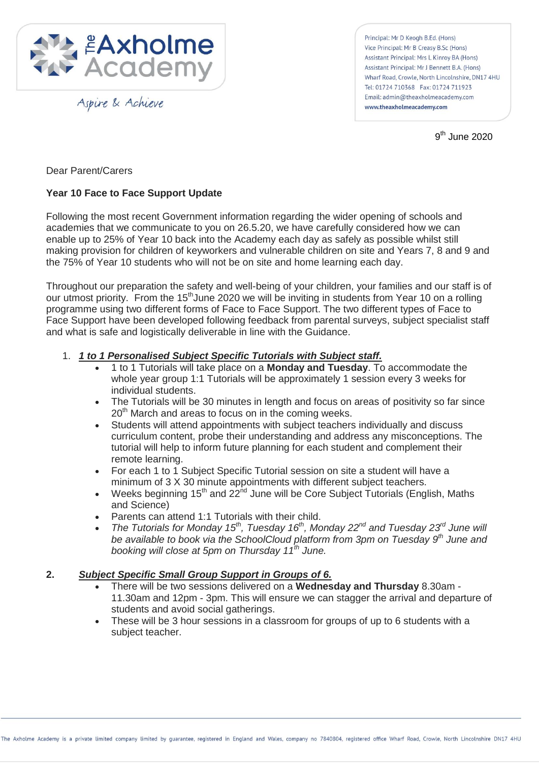

Aspire & Achieve

Principal: Mr D Keogh B.Ed. (Hons) Vice Principal: Mr B Creasy B.Sc (Hons) Assistant Principal: Mrs L Kinroy BA (Hons) Assistant Principal: Mr J Bennett B.A. (Hons) Wharf Road, Crowle, North Lincolnshire, DN17 4HU Tel: 01724 710368 Fax: 01724 711923 Email: admin@theaxholmeacademy.com www.theaxholmeacademy.com

9<sup>th</sup> June 2020

Dear Parent/Carers

# **Year 10 Face to Face Support Update**

Following the most recent Government information regarding the wider opening of schools and academies that we communicate to you on 26.5.20, we have carefully considered how we can enable up to 25% of Year 10 back into the Academy each day as safely as possible whilst still making provision for children of keyworkers and vulnerable children on site and Years 7, 8 and 9 and the 75% of Year 10 students who will not be on site and home learning each day.

Throughout our preparation the safety and well-being of your children, your families and our staff is of our utmost priority. From the 15<sup>th</sup>June 2020 we will be inviting in students from Year 10 on a rolling programme using two different forms of Face to Face Support. The two different types of Face to Face Support have been developed following feedback from parental surveys, subject specialist staff and what is safe and logistically deliverable in line with the Guidance.

- 1. *1 to 1 Personalised Subject Specific Tutorials with Subject staff.*
	- 1 to 1 Tutorials will take place on a **Monday and Tuesday**. To accommodate the whole year group 1:1 Tutorials will be approximately 1 session every 3 weeks for individual students.
	- The Tutorials will be 30 minutes in length and focus on areas of positivity so far since  $20<sup>th</sup>$  March and areas to focus on in the coming weeks.
	- Students will attend appointments with subject teachers individually and discuss curriculum content, probe their understanding and address any misconceptions. The tutorial will help to inform future planning for each student and complement their remote learning.
	- For each 1 to 1 Subject Specific Tutorial session on site a student will have a minimum of 3 X 30 minute appointments with different subject teachers.
	- Weeks beginning 15<sup>th</sup> and 22<sup>nd</sup> June will be Core Subject Tutorials (English, Maths and Science)
	- Parents can attend 1:1 Tutorials with their child.
	- *The Tutorials for Monday 15th, Tuesday 16th, Monday 22nd and Tuesday 23rd June will be available to book via the SchoolCloud platform from 3pm on Tuesday 9th June and booking will close at 5pm on Thursday 11th June.*

# **2.** *Subject Specific Small Group Support in Groups of 6.*

- There will be two sessions delivered on a **Wednesday and Thursday** 8.30am 11.30am and 12pm - 3pm. This will ensure we can stagger the arrival and departure of students and avoid social gatherings.
- These will be 3 hour sessions in a classroom for groups of up to 6 students with a subject teacher.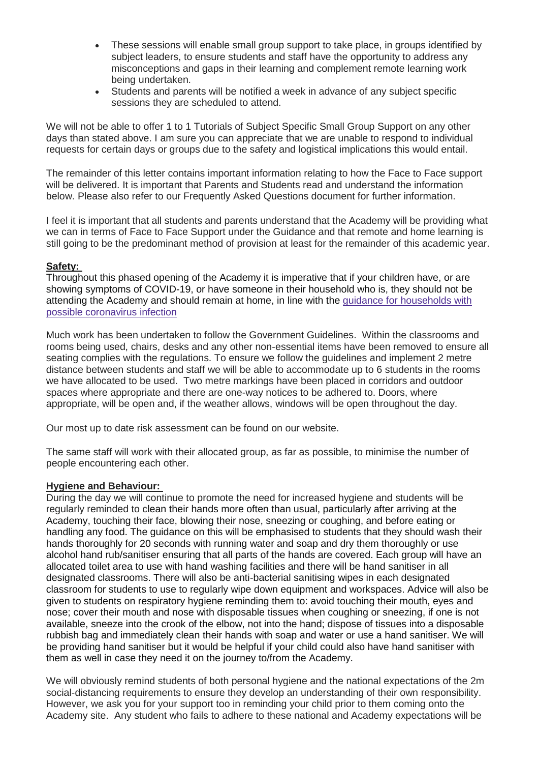- These sessions will enable small group support to take place, in groups identified by subject leaders, to ensure students and staff have the opportunity to address any misconceptions and gaps in their learning and complement remote learning work being undertaken.
- Students and parents will be notified a week in advance of any subject specific sessions they are scheduled to attend.

We will not be able to offer 1 to 1 Tutorials of Subiect Specific Small Group Support on any other days than stated above. I am sure you can appreciate that we are unable to respond to individual requests for certain days or groups due to the safety and logistical implications this would entail.

The remainder of this letter contains important information relating to how the Face to Face support will be delivered. It is important that Parents and Students read and understand the information below. Please also refer to our Frequently Asked Questions document for further information.

I feel it is important that all students and parents understand that the Academy will be providing what we can in terms of Face to Face Support under the Guidance and that remote and home learning is still going to be the predominant method of provision at least for the remainder of this academic year.

### **Safety:**

Throughout this phased opening of the Academy it is imperative that if your children have, or are showing symptoms of COVID-19, or have someone in their household who is, they should not be attending the Academy and should remain at home, in line with the [guidance for households with](https://www.gov.uk/government/publications/covid-19-stay-at-home-guidance)  [possible coronavirus infection](https://www.gov.uk/government/publications/covid-19-stay-at-home-guidance)

Much work has been undertaken to follow the Government Guidelines. Within the classrooms and rooms being used, chairs, desks and any other non-essential items have been removed to ensure all seating complies with the regulations. To ensure we follow the guidelines and implement 2 metre distance between students and staff we will be able to accommodate up to 6 students in the rooms we have allocated to be used. Two metre markings have been placed in corridors and outdoor spaces where appropriate and there are one-way notices to be adhered to. Doors, where appropriate, will be open and, if the weather allows, windows will be open throughout the day.

Our most up to date risk assessment can be found on our website.

The same staff will work with their allocated group, as far as possible, to minimise the number of people encountering each other.

## **Hygiene and Behaviour:**

During the day we will continue to promote the need for increased hygiene and students will be regularly reminded to clean their hands more often than usual, particularly after arriving at the Academy, touching their face, blowing their nose, sneezing or coughing, and before eating or handling any food. The guidance on this will be emphasised to students that they should wash their hands thoroughly for 20 seconds with running water and soap and dry them thoroughly or use alcohol hand rub/sanitiser ensuring that all parts of the hands are covered. Each group will have an allocated toilet area to use with hand washing facilities and there will be hand sanitiser in all designated classrooms. There will also be anti-bacterial sanitising wipes in each designated classroom for students to use to regularly wipe down equipment and workspaces. Advice will also be given to students on respiratory hygiene reminding them to: avoid touching their mouth, eyes and nose; cover their mouth and nose with disposable tissues when coughing or sneezing, if one is not available, sneeze into the crook of the elbow, not into the hand; dispose of tissues into a disposable rubbish bag and immediately clean their hands with soap and water or use a hand sanitiser. We will be providing hand sanitiser but it would be helpful if your child could also have hand sanitiser with them as well in case they need it on the journey to/from the Academy.

We will obviously remind students of both personal hygiene and the national expectations of the 2m social-distancing requirements to ensure they develop an understanding of their own responsibility. However, we ask you for your support too in reminding your child prior to them coming onto the Academy site. Any student who fails to adhere to these national and Academy expectations will be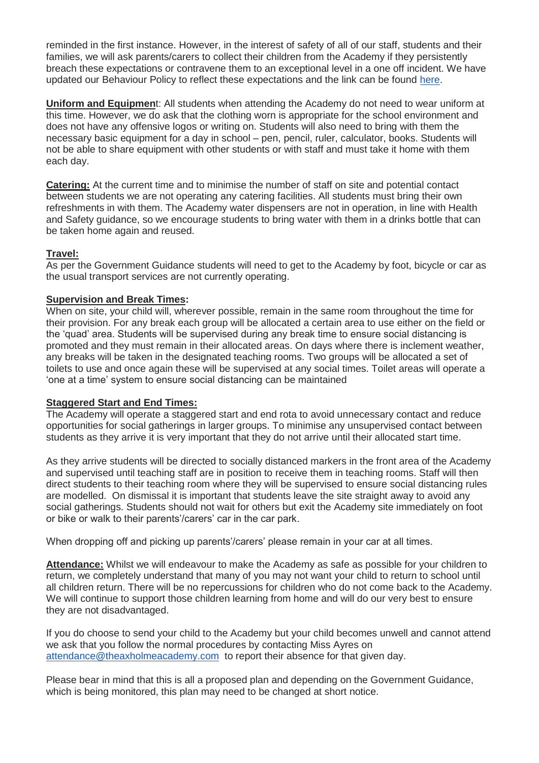reminded in the first instance. However, in the interest of safety of all of our staff, students and their families, we will ask parents/carers to collect their children from the Academy if they persistently breach these expectations or contravene them to an exceptional level in a one off incident. We have updated our Behaviour Policy to reflect these expectations and the link can be found [here.](http://www.theaxholmeacademy.com/page/?title=Policies&pid=34)

**Uniform and Equipmen**t: All students when attending the Academy do not need to wear uniform at this time. However, we do ask that the clothing worn is appropriate for the school environment and does not have any offensive logos or writing on. Students will also need to bring with them the necessary basic equipment for a day in school – pen, pencil, ruler, calculator, books. Students will not be able to share equipment with other students or with staff and must take it home with them each day.

**Catering:** At the current time and to minimise the number of staff on site and potential contact between students we are not operating any catering facilities. All students must bring their own refreshments in with them. The Academy water dispensers are not in operation, in line with Health and Safety guidance, so we encourage students to bring water with them in a drinks bottle that can be taken home again and reused.

## **Travel:**

As per the Government Guidance students will need to get to the Academy by foot, bicycle or car as the usual transport services are not currently operating.

## **Supervision and Break Times:**

When on site, your child will, wherever possible, remain in the same room throughout the time for their provision. For any break each group will be allocated a certain area to use either on the field or the 'quad' area. Students will be supervised during any break time to ensure social distancing is promoted and they must remain in their allocated areas. On days where there is inclement weather, any breaks will be taken in the designated teaching rooms. Two groups will be allocated a set of toilets to use and once again these will be supervised at any social times. Toilet areas will operate a 'one at a time' system to ensure social distancing can be maintained

## **Staggered Start and End Times:**

The Academy will operate a staggered start and end rota to avoid unnecessary contact and reduce opportunities for social gatherings in larger groups. To minimise any unsupervised contact between students as they arrive it is very important that they do not arrive until their allocated start time.

As they arrive students will be directed to socially distanced markers in the front area of the Academy and supervised until teaching staff are in position to receive them in teaching rooms. Staff will then direct students to their teaching room where they will be supervised to ensure social distancing rules are modelled. On dismissal it is important that students leave the site straight away to avoid any social gatherings. Students should not wait for others but exit the Academy site immediately on foot or bike or walk to their parents'/carers' car in the car park.

When dropping off and picking up parents'/carers' please remain in your car at all times.

**Attendance:** Whilst we will endeavour to make the Academy as safe as possible for your children to return, we completely understand that many of you may not want your child to return to school until all children return. There will be no repercussions for children who do not come back to the Academy. We will continue to support those children learning from home and will do our very best to ensure they are not disadvantaged.

If you do choose to send your child to the Academy but your child becomes unwell and cannot attend we ask that you follow the normal procedures by contacting Miss Ayres on [attendance@theaxholmeacademy.com](mailto:attendacnea@theaxholmeacademy.com) to report their absence for that given day.

Please bear in mind that this is all a proposed plan and depending on the Government Guidance, which is being monitored, this plan may need to be changed at short notice.